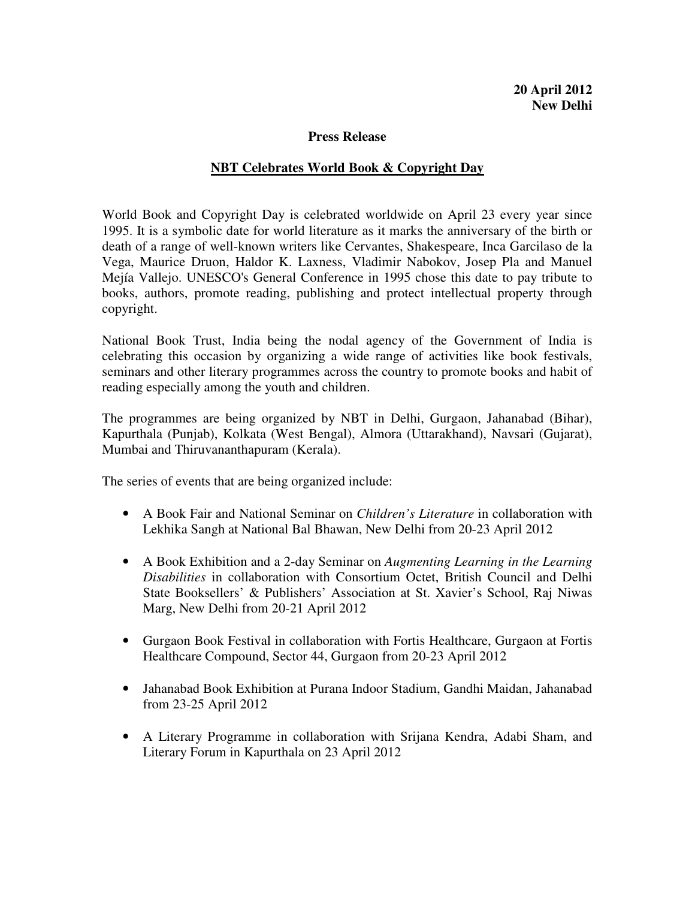## **Press Release**

## **NBT Celebrates World Book & Copyright Day**

World Book and Copyright Day is celebrated worldwide on April 23 every year since 1995. It is a symbolic date for world literature as it marks the anniversary of the birth or death of a range of well-known writers like Cervantes, Shakespeare, Inca Garcilaso de la Vega, Maurice Druon, Haldor K. Laxness, Vladimir Nabokov, Josep Pla and Manuel Mejía Vallejo. UNESCO's General Conference in 1995 chose this date to pay tribute to books, authors, promote reading, publishing and protect intellectual property through copyright.

National Book Trust, India being the nodal agency of the Government of India is celebrating this occasion by organizing a wide range of activities like book festivals, seminars and other literary programmes across the country to promote books and habit of reading especially among the youth and children.

The programmes are being organized by NBT in Delhi, Gurgaon, Jahanabad (Bihar), Kapurthala (Punjab), Kolkata (West Bengal), Almora (Uttarakhand), Navsari (Gujarat), Mumbai and Thiruvananthapuram (Kerala).

The series of events that are being organized include:

- A Book Fair and National Seminar on *Children's Literature* in collaboration with Lekhika Sangh at National Bal Bhawan, New Delhi from 20-23 April 2012
- A Book Exhibition and a 2-day Seminar on *Augmenting Learning in the Learning Disabilities* in collaboration with Consortium Octet, British Council and Delhi State Booksellers' & Publishers' Association at St. Xavier's School, Raj Niwas Marg, New Delhi from 20-21 April 2012
- Gurgaon Book Festival in collaboration with Fortis Healthcare, Gurgaon at Fortis Healthcare Compound, Sector 44, Gurgaon from 20-23 April 2012
- Jahanabad Book Exhibition at Purana Indoor Stadium, Gandhi Maidan, Jahanabad from 23-25 April 2012
- A Literary Programme in collaboration with Srijana Kendra, Adabi Sham, and Literary Forum in Kapurthala on 23 April 2012